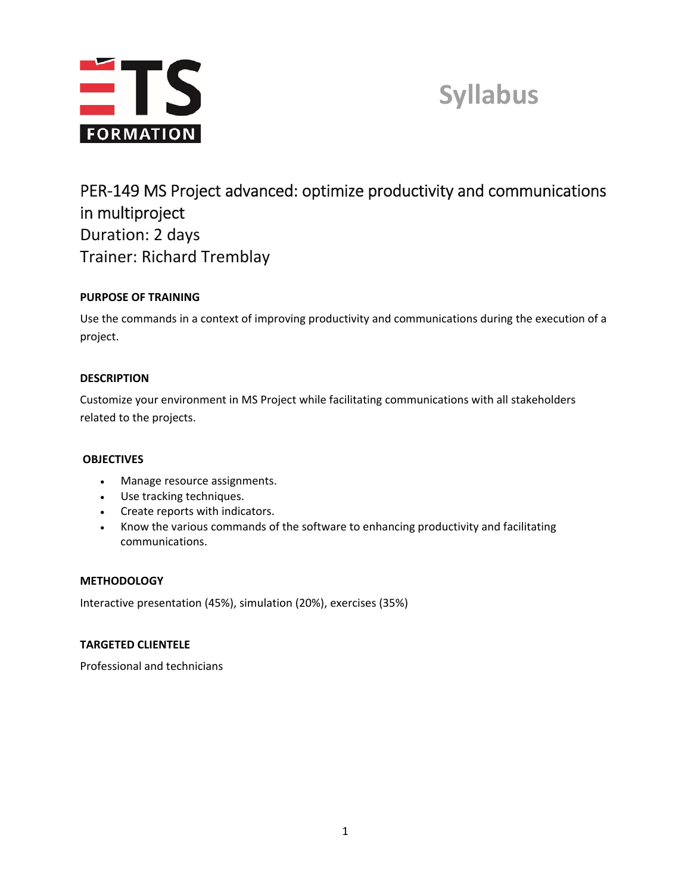

# **Syllabus**

# PER‐149 MS Project advanced: optimize productivity and communications in multiproject Duration: 2 days Trainer: Richard Tremblay

# **PURPOSE OF TRAINING**

Use the commands in a context of improving productivity and communications during the execution of a project.

# **DESCRIPTION**

Customize your environment in MS Project while facilitating communications with all stakeholders related to the projects.

# **OBJECTIVES**

- Manage resource assignments.
- Use tracking techniques.
- Create reports with indicators.
- Know the various commands of the software to enhancing productivity and facilitating communications.

# **METHODOLOGY**

Interactive presentation (45%), simulation (20%), exercises (35%)

# **TARGETED CLIENTELE**

Professional and technicians